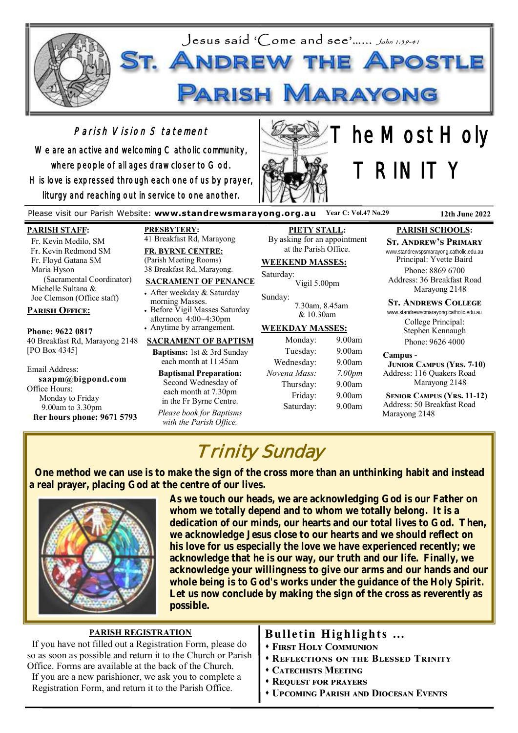

# Parish Vision Statement

We are an active and welcoming Catholic community, where people of all ages draw closer to God. His love is expressed through each one of us by prayer, liturgy and reaching out in service to one another.



# he Most Holy TRINITY

Please visit our Parish Website: **www.standrewsmarayong.org.au Year C: Vol.47 No.29 12th June 2022**

#### **PARISH STAFF:**

 Fr. Kevin Medilo, SM Fr. Kevin Redmond SM Fr. Floyd Gatana SM Maria Hyson (Sacramental Coordinator) Michelle Sultana & Joe Clemson (Office staff)

### **Parish Office:**

**Phone: 9622 0817** 40 Breakfast Rd, Marayong 2148 [PO Box 4345]

Email Address: **saapm@bigpond.com** Office Hours: Monday to Friday 9.00am to 3.30pm **After hours phone: 9671 5793**

**PRESBYTERY:** 41 Breakfast Rd, Marayong

**FR. BYRNE CENTRE:** (Parish Meeting Rooms) 38 Breakfast Rd, Marayong.

#### **SACRAMENT OF PENANCE**

• After weekday & Saturday morning Masses. • Before Vigil Masses Saturday afternoon 4:00~4:30pm

• Anytime by arrangement.

#### **SACRAMENT OF BAPTISM**

**Baptisms:** 1st & 3rd Sunday each month at 11:45am

**Baptismal Preparation:** Second Wednesday of each month at 7.30pm in the Fr Byrne Centre. *Please book for Baptisms* 

*with the Parish Office.*

**PIETY STALL:** By asking for an appointment at the Parish Office.

### **WEEKEND MASSES:**

Saturday: Vigil 5.00pm

Sunday: 7.30am, 8.45am  $& 10.30$ am

#### **WEEKDAY MASSES:**

| Monday:      | 9.00am             |
|--------------|--------------------|
| Tuesday:     | 9.00am             |
| Wednesday:   | 9.00am             |
| Novena Mass: | 7.00 <sub>pm</sub> |
| Thursday:    | 9.00am             |
| Friday:      | 9.00am             |
| Saturday:    | 9.00am             |
|              |                    |

#### **PARISH SCHOOLS:**

#### **St. Andrew's Primary**

www.standrewspsmarayong.catholic.edu.au Principal: Yvette Baird

Phone: 8869 6700 Address: 36 Breakfast Road Marayong 2148

#### **St. Andrews College**

www.standrewscmarayong.catholic.edu.au College Principal: Stephen Kennaugh Phone: 9626 4000

#### **Campus -**

 **Junior Campus (Yrs. 7-10)** Address: 116 Quakers Road Marayong 2148

 **Senior Campus (Yrs. 11-12)** Address: 50 Breakfast Road Marayong 2148

# Trinity Sunday

 **One method we can use is to make the sign of the cross more than an unthinking habit and instead a real prayer, placing God at the centre of our lives.**



**As we touch our heads, we are acknowledging God is our Father on whom we totally depend and to whom we totally belong. It is a dedication of our minds, our hearts and our total lives to God. Then, we acknowledge Jesus close to our hearts and we should reflect on his love for us especially the love we have experienced recently; we acknowledge that he is our way, our truth and our life. Finally, we acknowledge your willingness to give our arms and our hands and our whole being is to God's works under the guidance of the Holy Spirit. Let us now conclude by making the sign of the cross as reverently as possible.**

| <b>PARISH REGISTRATION</b>                                   | Bulletin Highlights                         |
|--------------------------------------------------------------|---------------------------------------------|
| If you have not filled out a Registration Form, please do    | <b>* FIRST HOLY COMMUNION</b>               |
| so as soon as possible and return it to the Church or Parish | <b>* REFLECTIONS ON THE BLESSED TRINITY</b> |
| Office. Forms are available at the back of the Church.       | <b>CATECHISTS MEETING</b>                   |
| If you are a new parishioner, we ask you to complete a       | <b>EXAMPLE PRAYERS</b>                      |
| Registration Form, and return it to the Parish Office.       | <b>UPCOMING PARISH AND DIOCESAN EVENTS</b>  |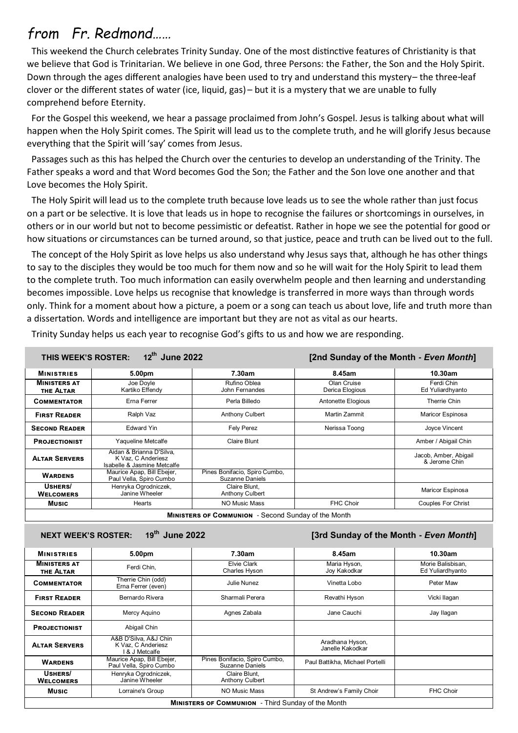# *from Fr. Redmond……*

 This weekend the Church celebrates Trinity Sunday. One of the most distinctive features of Christianity is that we believe that God is Trinitarian. We believe in one God, three Persons: the Father, the Son and the Holy Spirit. Down through the ages different analogies have been used to try and understand this mystery-the three-leaf clover or the different states of water (ice, liquid, gas) – but it is a mystery that we are unable to fully comprehend before Eternity.

 For the Gospel this weekend, we hear a passage proclaimed from John's Gospel. Jesus is talking about what will happen when the Holy Spirit comes. The Spirit will lead us to the complete truth, and he will glorify Jesus because everything that the Spirit will 'say' comes from Jesus.

 Passages such as this has helped the Church over the centuries to develop an understanding of the Trinity. The Father speaks a word and that Word becomes God the Son; the Father and the Son love one another and that Love becomes the Holy Spirit.

 The Holy Spirit will lead us to the complete truth because love leads us to see the whole rather than just focus on a part or be selective. It is love that leads us in hope to recognise the failures or shortcomings in ourselves, in others or in our world but not to become pessimistic or defeatist. Rather in hope we see the potential for good or how situations or circumstances can be turned around, so that justice, peace and truth can be lived out to the full.

 The concept of the Holy Spirit as love helps us also understand why Jesus says that, although he has other things to say to the disciples they would be too much for them now and so he will wait for the Holy Spirit to lead them to the complete truth. Too much information can easily overwhelm people and then learning and understanding becomes impossible. Love helps us recognise that knowledge is transferred in more ways than through words only. Think for a moment about how a picture, a poem or a song can teach us about love, life and truth more than a dissertation. Words and intelligence are important but they are not as vital as our hearts.

| Trinity Sunday helps us each year to recognise God's gifts to us and how we are responding. |  |  |  |  |  |
|---------------------------------------------------------------------------------------------|--|--|--|--|--|
|---------------------------------------------------------------------------------------------|--|--|--|--|--|

| 12th June 2022<br>[2nd Sunday of the Month - Even Month]<br>THIS WEEK'S ROSTER: |                                                                               |                                                  |                                |                                        |
|---------------------------------------------------------------------------------|-------------------------------------------------------------------------------|--------------------------------------------------|--------------------------------|----------------------------------------|
| <b>MINISTRIES</b>                                                               | 5.00pm                                                                        | 7.30am                                           | 8.45am                         | 10.30am                                |
| <b>MINISTERS AT</b><br>THE ALTAR                                                | Joe Dovle<br>Kartiko Effendy                                                  | Rufino Oblea<br>John Fernandes                   | Olan Cruise<br>Derica Elogious | Ferdi Chin<br>Ed Yuliardhyanto         |
| <b>COMMENTATOR</b>                                                              | Erna Ferrer                                                                   | Perla Billedo                                    | Antonette Elogious             | Therrie Chin                           |
| <b>FIRST READER</b>                                                             | Ralph Vaz                                                                     | <b>Anthony Culbert</b>                           | Martin Zammit                  | Maricor Espinosa                       |
| <b>SECOND READER</b>                                                            | <b>Edward Yin</b>                                                             | Fely Perez                                       | Nerissa Toong                  | Joyce Vincent                          |
| <b>PROJECTIONIST</b>                                                            | Yaqueline Metcalfe                                                            | Claire Blunt                                     |                                | Amber / Abigail Chin                   |
| <b>ALTAR SERVERS</b>                                                            | Aidan & Brianna D'Silva,<br>K Vaz. C Anderiesz<br>Isabelle & Jasmine Metcalfe |                                                  |                                | Jacob, Amber, Abigail<br>& Jerome Chin |
| <b>WARDENS</b>                                                                  | Maurice Apap, Bill Ebejer,<br>Paul Vella, Spiro Cumbo                         | Pines Bonifacio, Spiro Cumbo,<br>Suzanne Daniels |                                |                                        |
| USHERS/<br><b>WELCOMERS</b>                                                     | Henryka Ogrodniczek,<br>Janine Wheeler                                        | Claire Blunt.<br>Anthony Culbert                 |                                | Maricor Espinosa                       |
| <b>Music</b>                                                                    | Hearts                                                                        | <b>NO Music Mass</b>                             | <b>FHC Choir</b>               | <b>Couples For Christ</b>              |
| <b>MINISTERS OF COMMUNION</b> - Second Sunday of the Month                      |                                                                               |                                                  |                                |                                        |

**NEXT WEEK'S ROSTER: 19th June 2022 [3rd Sunday of the Month -** *Even Month***]** 

| <b>MINISTRIES</b>                                         | 5.00pm                                                        | 7.30am                                           | 8.45am                              | 10.30am                               |
|-----------------------------------------------------------|---------------------------------------------------------------|--------------------------------------------------|-------------------------------------|---------------------------------------|
| <b>MINISTERS AT</b><br>THE ALTAR                          | Ferdi Chin,                                                   | Elvie Clark<br>Charles Hyson                     | Maria Hyson,<br>Joy Kakodkar        | Morie Balisbisan.<br>Ed Yuliardhyanto |
| <b>COMMENTATOR</b>                                        | Therrie Chin (odd)<br>Erna Ferrer (even)                      | Julie Nunez                                      | Vinetta Lobo                        | Peter Maw                             |
| <b>FIRST READER</b>                                       | Bernardo Rivera                                               | Sharmali Perera                                  | Revathi Hyson                       | Vicki Ilaqan                          |
| <b>SECOND READER</b>                                      | Mercy Aquino                                                  | Agnes Zabala                                     | Jane Cauchi                         | Jay Ilagan                            |
| <b>PROJECTIONIST</b>                                      | Abigail Chin                                                  |                                                  |                                     |                                       |
| <b>ALTAR SERVERS</b>                                      | A&B D'Silva, A&J Chin<br>K Vaz, C Anderiesz<br>I & J Metcalfe |                                                  | Aradhana Hyson,<br>Janelle Kakodkar |                                       |
| <b>WARDENS</b>                                            | Maurice Apap, Bill Ebejer,<br>Paul Vella, Spiro Cumbo         | Pines Bonifacio, Spiro Cumbo,<br>Suzanne Daniels | Paul Battikha, Michael Portelli     |                                       |
| USHERS/<br><b>WELCOMERS</b>                               | Henryka Ogrodniczek,<br>Janine Wheeler                        | Claire Blunt.<br><b>Anthony Culbert</b>          |                                     |                                       |
| <b>Music</b>                                              | Lorraine's Group                                              | NO Music Mass                                    | St Andrew's Family Choir            | FHC Choir                             |
| <b>MINISTERS OF COMMUNION</b> - Third Sunday of the Month |                                                               |                                                  |                                     |                                       |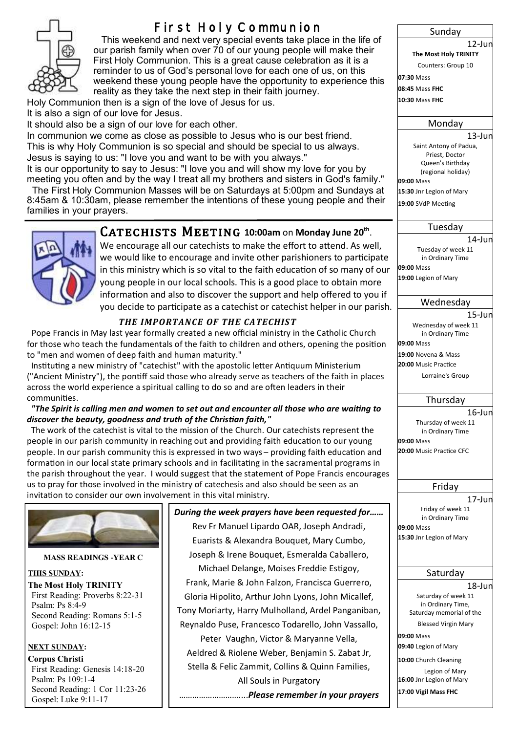

# **First Holy Communion**

 This weekend and next very special events take place in the life of our parish family when over 70 of our young people will make their First Holy Communion. This is a great cause celebration as it is a reminder to us of God's personal love for each one of us, on this weekend these young people have the opportunity to experience this reality as they take the next step in their faith journey.

Holy Communion then is a sign of the love of Jesus for us. It is also a sign of our love for Jesus.

It should also be a sign of our love for each other.

In communion we come as close as possible to Jesus who is our best friend. This is why Holy Communion is so special and should be special to us always. Jesus is saying to us: "I love you and want to be with you always."

It is our opportunity to say to Jesus: "I love you and will show my love for you by meeting you often and by the way I treat all my brothers and sisters in God's family."

 The First Holy Communion Masses will be on Saturdays at 5:00pm and Sundays at 8:45am & 10:30am, please remember the intentions of these young people and their families in your prayers.



# $CATECHISTS$  MEETING 10:00am on Monday June 20<sup>th</sup>.

We encourage all our catechists to make the effort to attend. As well, we would like to encourage and invite other parishioners to participate in this ministry which is so vital to the faith education of so many of our young people in our local schools. This is a good place to obtain more information and also to discover the support and help offered to you if you decide to participate as a catechist or catechist helper in our parish.

### *THE IMPORTANCE OF THE CATECHIST*

 Pope Francis in May last year formally created a new official ministry in the Catholic Church for those who teach the fundamentals of the faith to children and others, opening the position to "men and women of deep faith and human maturity."

 Instituting a new ministry of "catechist" with the apostolic letter Antiquum Ministerium ("Ancient Ministry"), the pontiff said those who already serve as teachers of the faith in places across the world experience a spiritual calling to do so and are often leaders in their communities.

#### *"The Spirit is calling men and women to set out and encounter all those who are waiting to discover the beauty, goodness and truth of the Christian faith,"*

 The work of the catechist is vital to the mission of the Church. Our catechists represent the people in our parish community in reaching out and providing faith education to our young people. In our parish community this is expressed in two ways – providing faith education and formation in our local state primary schools and in facilitating in the sacramental programs in the parish throughout the year. I would suggest that the statement of Pope Francis encourages us to pray for those involved in the ministry of catechesis and also should be seen as an invitation to consider our own involvement in this vital ministry.



#### **MASS READINGS -YEAR C**

#### **THIS SUNDAY:**

**The Most Holy TRINITY** First Reading: Proverbs 8:22-31 Psalm: Ps 8:4-9 Second Reading: Romans 5:1-5 Gospel: John 16:12-15

#### **NEXT SUNDAY:**

**Corpus Christi** First Reading: Genesis 14:18-20 Psalm: Ps 109:1-4 Second Reading: 1 Cor 11:23-26 Gospel: Luke 9:11-17

*During the week prayers have been requested for……* Rev Fr Manuel Lipardo OAR, Joseph Andradi, Euarists & Alexandra Bouquet, Mary Cumbo, Joseph & Irene Bouquet, Esmeralda Caballero, Michael Delange, Moises Freddie Estigoy, Frank, Marie & John Falzon, Francisca Guerrero, Gloria Hipolito, Arthur John Lyons, John Micallef, Tony Moriarty, Harry Mulholland, Ardel Panganiban, Reynaldo Puse, Francesco Todarello, John Vassallo, Peter Vaughn, Victor & Maryanne Vella, Aeldred & Riolene Weber, Benjamin S. Zabat Jr, Stella & Felic Zammit, Collins & Quinn Families, All Souls in Purgatory ………………………....*Please remember in your prayers*

**The Most Holy TRINITY** Counters: Group 10 **07:30** Mass **08:45** Mass **FHC 10:30** Mass **FHC** Monday 13-Jun Saint Antony of Padua, Priest, Doctor Queen's Birthday (regional holiday) **09:00** Mass **15:30** Jnr Legion of Mary **19:00** SVdP Meeting Tuesday 14-Jun Tuesday of week 11 in Ordinary Time **09:00** Mass

Sunday

12-Jun

**19:00** Legion of Mary

#### Wednesday

15-Jun Wednesday of week 11

in Ordinary Time **09:00** Mass

**19:00** Novena & Mass

**20:00** Music Practice

Lorraine's Group

# Thursday

16-Jun Thursday of week 11 in Ordinary Time **09:00** Mass **20:00** Music Practice CFC

#### Friday

17-Jun Friday of week 11 in Ordinary Time **09:00** Mass **15:30** Jnr Legion of Mary

#### Saturday

18-Jun Saturday of week 11 in Ordinary Time, Saturday memorial of the Blessed Virgin Mary **09:00** Mass

**09:40** Legion of Mary

**10:00** Church Cleaning

Legion of Mary **16:00** Jnr Legion of Mary **17:00 Vigil Mass FHC**